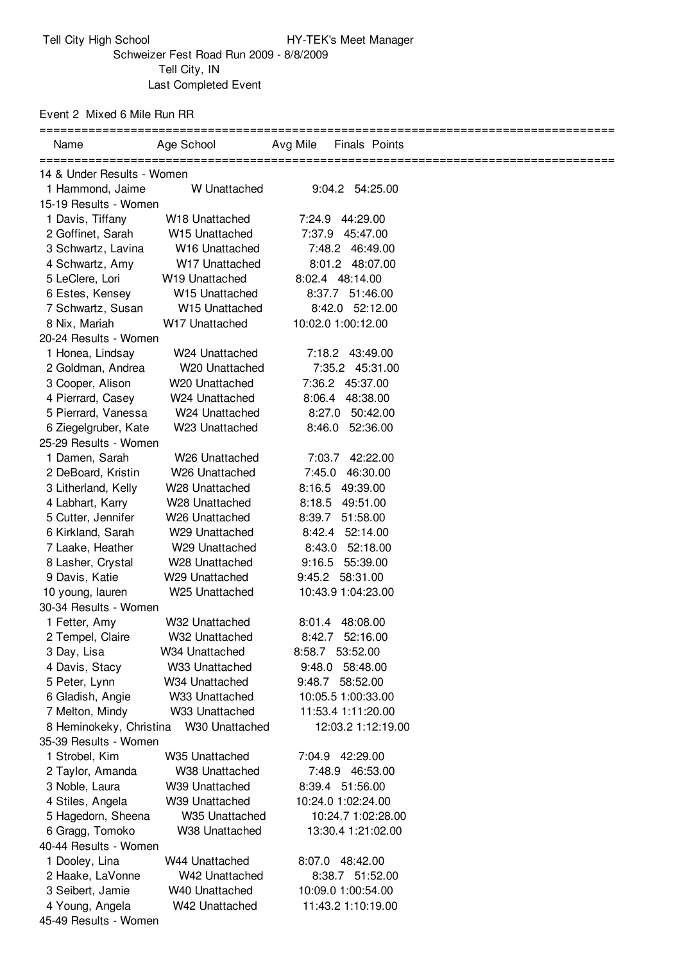Event 2 Mixed 6 Mile Run RR

| Name                       | Age School                 | Avg Mile<br><b>Finals Points</b> |  |
|----------------------------|----------------------------|----------------------------------|--|
| 14 & Under Results - Women |                            |                                  |  |
| 1 Hammond, Jaime           | W Unattached               | 9:04.2 54:25.00                  |  |
| 15-19 Results - Women      |                            |                                  |  |
| 1 Davis, Tiffany           | W <sub>18</sub> Unattached | 7:24.9 44:29.00                  |  |
| 2 Goffinet, Sarah          | W15 Unattached             | 7:37.9 45:47.00                  |  |
| 3 Schwartz, Lavina         | W16 Unattached             | 7:48.2 46:49.00                  |  |
| 4 Schwartz, Amy            | W17 Unattached             | 8:01.2 48:07.00                  |  |
| 5 LeClere, Lori            | W <sub>19</sub> Unattached | 8:02.4 48:14.00                  |  |
| 6 Estes, Kensey            | W <sub>15</sub> Unattached | 8:37.7 51:46.00                  |  |
| 7 Schwartz, Susan          | W15 Unattached             | 8:42.0 52:12.00                  |  |
| 8 Nix, Mariah              | W17 Unattached             | 10:02.0 1:00:12.00               |  |
| 20-24 Results - Women      |                            |                                  |  |
| 1 Honea, Lindsay           | W24 Unattached             | 7:18.2 43:49.00                  |  |
| 2 Goldman, Andrea          | W20 Unattached             | 7:35.2 45:31.00                  |  |
| 3 Cooper, Alison           | W <sub>20</sub> Unattached | 7:36.2 45:37.00                  |  |
| 4 Pierrard, Casey          | W24 Unattached             | 8:06.4 48:38.00                  |  |
| 5 Pierrard, Vanessa        | W24 Unattached             | 8:27.0 50:42.00                  |  |
| 6 Ziegelgruber, Kate       | W23 Unattached             | 8:46.0 52:36.00                  |  |
| 25-29 Results - Women      |                            |                                  |  |
| 1 Damen, Sarah             | W26 Unattached             | 7:03.7 42:22.00                  |  |
| 2 DeBoard, Kristin         | W26 Unattached             | 7:45.0 46:30.00                  |  |
| 3 Litherland, Kelly        | W28 Unattached             | 8:16.5 49:39.00                  |  |
| 4 Labhart, Karry           | W28 Unattached             | 8:18.5 49:51.00                  |  |
| 5 Cutter, Jennifer         | W26 Unattached             | 8:39.7<br>51:58.00               |  |
| 6 Kirkland, Sarah          | W <sub>29</sub> Unattached | 8:42.4 52:14.00                  |  |
| 7 Laake, Heather           | W29 Unattached             | 8:43.0 52:18.00                  |  |
| 8 Lasher, Crystal          | W <sub>28</sub> Unattached | 9:16.5 55:39.00                  |  |
| 9 Davis, Katie             | W <sub>29</sub> Unattached | 9:45.2 58:31.00                  |  |
| 10 young, lauren           | W25 Unattached             | 10:43.9 1:04:23.00               |  |
| 30-34 Results - Women      |                            |                                  |  |
| 1 Fetter, Amy              | W32 Unattached             | 8:01.4 48:08.00                  |  |
| 2 Tempel, Claire           | W32 Unattached             | 8:42.7 52:16.00                  |  |
| 3 Day, Lisa                | W34 Unattached             | 8:58.7 53:52.00                  |  |
| 4 Davis, Stacy             | W33 Unattached             | 9:48.0 58:48.00                  |  |
| 5 Peter, Lynn              | W34 Unattached             | 9:48.7 58:52.00                  |  |
| 6 Gladish, Angie           | W33 Unattached             | 10:05.5 1:00:33.00               |  |
| 7 Melton, Mindy            | W33 Unattached             | 11:53.4 1:11:20.00               |  |
| 8 Heminokeky, Christina    | W30 Unattached             | 12:03.2 1:12:19.00               |  |
| 35-39 Results - Women      |                            |                                  |  |
| 1 Strobel, Kim             | W35 Unattached             | 7:04.9 42:29.00                  |  |
| 2 Taylor, Amanda           | W38 Unattached             | 7:48.9 46:53.00                  |  |
| 3 Noble, Laura             | W39 Unattached             | 8:39.4 51:56.00                  |  |
| 4 Stiles, Angela           | W39 Unattached             | 10:24.0 1:02:24.00               |  |
| 5 Hagedorn, Sheena         | W35 Unattached             | 10:24.7 1:02:28.00               |  |
| 6 Gragg, Tomoko            | W38 Unattached             | 13:30.4 1:21:02.00               |  |
| 40-44 Results - Women      |                            |                                  |  |
| 1 Dooley, Lina             | W44 Unattached             | 8:07.0 48:42.00                  |  |
| 2 Haake, LaVonne           | W42 Unattached             | 8:38.7 51:52.00                  |  |
| 3 Seibert, Jamie           | W40 Unattached             | 10:09.0 1:00:54.00               |  |
| 4 Young, Angela            | W42 Unattached             | 11:43.2 1:10:19.00               |  |
| 45-49 Results - Women      |                            |                                  |  |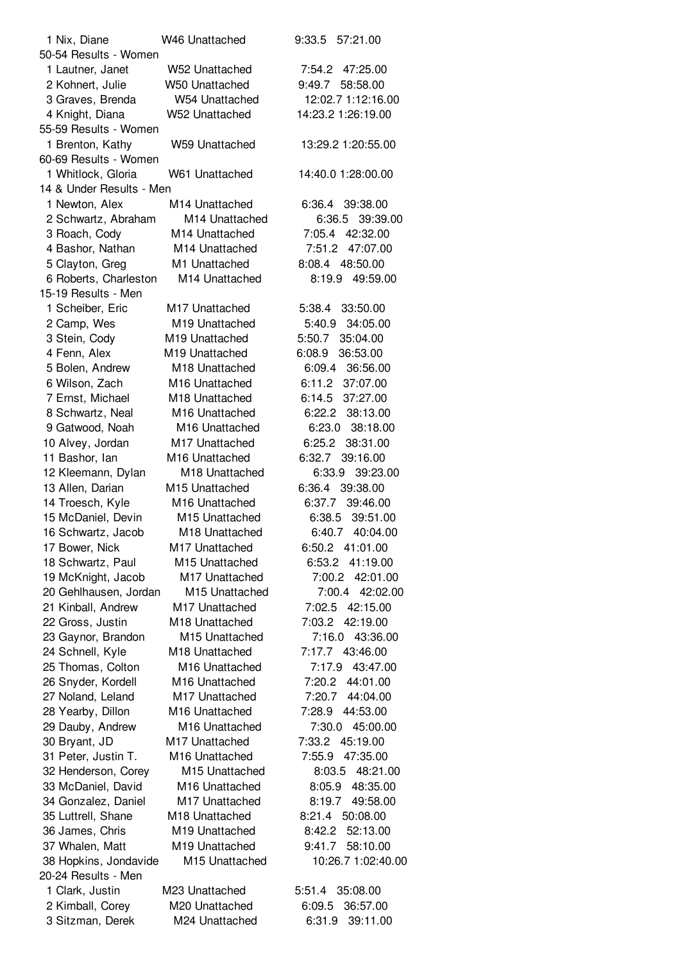| 1 Nix, Diane             | W46 Unattached             | 57:21.00<br>9:33.5 |
|--------------------------|----------------------------|--------------------|
| 50-54 Results - Women    |                            |                    |
| 1 Lautner, Janet         | W52 Unattached             | 7:54.2 47:25.00    |
| 2 Kohnert, Julie         | W50 Unattached             | 9:49.7<br>58:58.00 |
| 3 Graves, Brenda         | W54 Unattached             | 12:02.7 1:12:16.00 |
| 4 Knight, Diana          | W52 Unattached             | 14:23.2 1:26:19.00 |
| 55-59 Results - Women    |                            |                    |
| 1 Brenton, Kathy         | W59 Unattached             | 13:29.2 1:20:55.00 |
| 60-69 Results - Women    |                            |                    |
| 1 Whitlock, Gloria       | W61 Unattached             | 14:40.0 1:28:00.00 |
| 14 & Under Results - Men |                            |                    |
|                          |                            |                    |
| 1 Newton, Alex           | M14 Unattached             | 6:36.4 39:38.00    |
| 2 Schwartz, Abraham      | M14 Unattached             | 6:36.5<br>39:39.00 |
| 3 Roach, Cody            | M <sub>14</sub> Unattached | 42:32.00<br>7:05.4 |
| 4 Bashor, Nathan         | M <sub>14</sub> Unattached | 7:51.2<br>47:07.00 |
| 5 Clayton, Greg          | M1 Unattached              | 8:08.4 48:50.00    |
| 6 Roberts, Charleston    | M14 Unattached             | 8:19.9<br>49:59.00 |
| 15-19 Results - Men      |                            |                    |
| 1 Scheiber, Eric         | M17 Unattached             | 5:38.4<br>33:50.00 |
| 2 Camp, Wes              | M19 Unattached             | 34:05.00<br>5:40.9 |
| 3 Stein, Cody            | M19 Unattached             | 35:04.00<br>5:50.7 |
| 4 Fenn, Alex             | M19 Unattached             | 6:08.9<br>36:53.00 |
| 5 Bolen, Andrew          | M18 Unattached             | 6:09.4<br>36:56.00 |
| 6 Wilson, Zach           | M16 Unattached             | 6:11.2<br>37:07.00 |
| 7 Ernst, Michael         | M18 Unattached             | 37:27.00<br>6:14.5 |
| 8 Schwartz, Neal         | M16 Unattached             | 38:13.00<br>6:22.2 |
| 9 Gatwood, Noah          | M16 Unattached             | 38:18.00<br>6:23.0 |
| 10 Alvey, Jordan         | M17 Unattached             | 6:25.2<br>38:31.00 |
|                          | M16 Unattached             | 6:32.7<br>39:16.00 |
| 11 Bashor, lan           |                            |                    |
| 12 Kleemann, Dylan       | M18 Unattached             | 6:33.9<br>39:23.00 |
| 13 Allen, Darian         | M15 Unattached             | 6:36.4<br>39:38.00 |
| 14 Troesch, Kyle         | M16 Unattached             | 6:37.7<br>39:46.00 |
| 15 McDaniel, Devin       | M15 Unattached             | 6:38.5<br>39:51.00 |
| 16 Schwartz, Jacob       | M18 Unattached             | 6:40.7 40:04.00    |
| 17 Bower, Nick           | M17 Unattached             | 6:50.2 41:01.00    |
| 18 Schwartz, Paul        | M15 Unattached             | 6:53.2 41:19.00    |
| 19 McKnight, Jacob       | M17 Unattached             | 7:00.2<br>42:01.00 |
| 20 Gehlhausen, Jordan    | M15 Unattached             | 7:00.4<br>42:02.00 |
| 21 Kinball, Andrew       | M17 Unattached             | 7:02.5 42:15.00    |
| 22 Gross, Justin         | M18 Unattached             | 7:03.2<br>42:19.00 |
| 23 Gaynor, Brandon       | M15 Unattached             | 7:16.0<br>43:36.00 |
| 24 Schnell, Kyle         | M18 Unattached             | 7:17.7 43:46.00    |
| 25 Thomas, Colton        | M16 Unattached             | 7:17.9<br>43:47.00 |
| 26 Snyder, Kordell       | M16 Unattached             | 7:20.2 44:01.00    |
| 27 Noland, Leland        | M17 Unattached             | 7:20.7 44:04.00    |
|                          | M16 Unattached             | 7:28.9<br>44:53.00 |
| 28 Yearby, Dillon        |                            |                    |
| 29 Dauby, Andrew         | M16 Unattached             | 7:30.0 45:00.00    |
| 30 Bryant, JD            | M17 Unattached             | 45:19.00<br>7:33.2 |
| 31 Peter, Justin T.      | M16 Unattached             | 7:55.9<br>47:35.00 |
| 32 Henderson, Corey      | M15 Unattached             | 8:03.5<br>48:21.00 |
| 33 McDaniel, David       | M16 Unattached             | 8:05.9<br>48:35.00 |
| 34 Gonzalez, Daniel      | M17 Unattached             | 8:19.7<br>49:58.00 |
| 35 Luttrell, Shane       | M18 Unattached             | 8:21.4<br>50:08.00 |
| 36 James, Chris          | M19 Unattached             | 8:42.2<br>52:13.00 |
| 37 Whalen, Matt          | M19 Unattached             | 9:41.7<br>58:10.00 |
| 38 Hopkins, Jondavide    | M15 Unattached             | 10:26.7 1:02:40.00 |
| 20-24 Results - Men      |                            |                    |
| 1 Clark, Justin          | M23 Unattached             | 35:08.00<br>5:51.4 |
| 2 Kimball, Corey         | M20 Unattached             | 6:09.5<br>36:57.00 |
| 3 Sitzman, Derek         | M24 Unattached             | 39:11.00<br>6:31.9 |
|                          |                            |                    |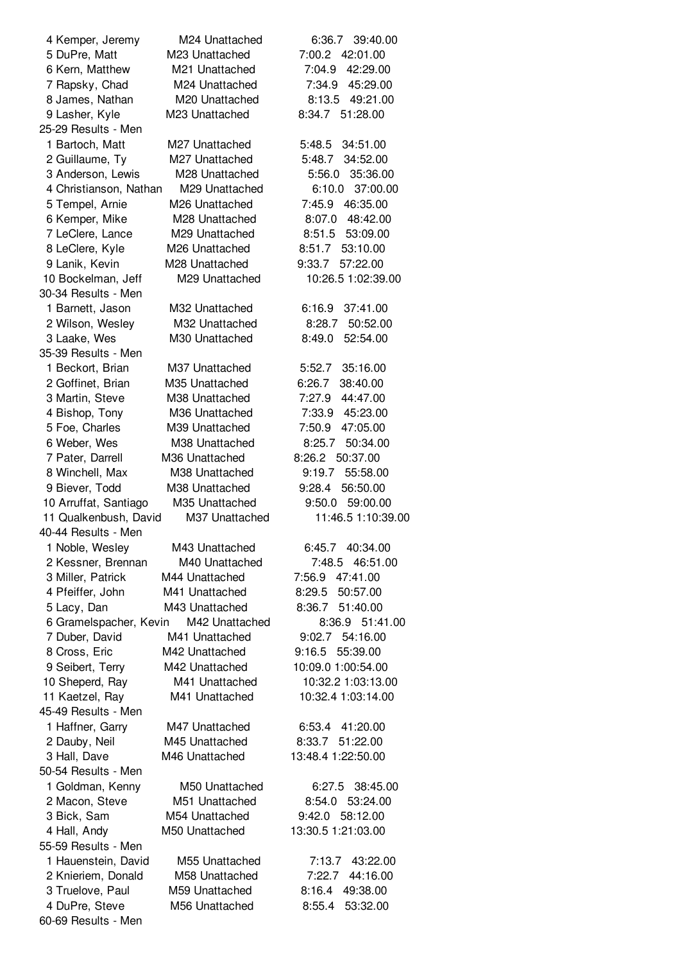| 4 Kemper, Jeremy       | M24 Unattached | 39:40.00<br>6:36.7 |
|------------------------|----------------|--------------------|
| 5 DuPre, Matt          | M23 Unattached | 7:00.2<br>42:01.00 |
| 6 Kern, Matthew        | M21 Unattached | 42:29.00<br>7:04.9 |
| 7 Rapsky, Chad         | M24 Unattached | 7:34.9<br>45:29.00 |
| 8 James, Nathan        | M20 Unattached | 8:13.5<br>49:21.00 |
| 9 Lasher, Kyle         | M23 Unattached | 8:34.7 51:28.00    |
| 25-29 Results - Men    |                |                    |
| 1 Bartoch, Matt        | M27 Unattached | 5:48.5<br>34:51.00 |
| 2 Guillaume, Ty        | M27 Unattached | 34:52.00<br>5:48.7 |
|                        |                |                    |
| 3 Anderson, Lewis      | M28 Unattached | 5:56.0<br>35:36.00 |
| 4 Christianson, Nathan | M29 Unattached | 6:10.0<br>37:00.00 |
| 5 Tempel, Arnie        | M26 Unattached | 7:45.9<br>46:35.00 |
| 6 Kemper, Mike         | M28 Unattached | 8:07.0 48:42.00    |
| 7 LeClere, Lance       | M29 Unattached | 53:09.00<br>8:51.5 |
| 8 LeClere, Kyle        | M26 Unattached | 53:10.00<br>8:51.7 |
| 9 Lanik, Kevin         | M28 Unattached | 9:33.7<br>57:22.00 |
| 10 Bockelman, Jeff     | M29 Unattached | 10:26.5 1:02:39.00 |
| 30-34 Results - Men    |                |                    |
| 1 Barnett, Jason       | M32 Unattached | 6:16.9<br>37:41.00 |
| 2 Wilson, Wesley       | M32 Unattached | 50:52.00<br>8:28.7 |
| 3 Laake, Wes           | M30 Unattached | 8:49.0<br>52:54.00 |
| 35-39 Results - Men    |                |                    |
| 1 Beckort, Brian       | M37 Unattached | 5:52.7<br>35:16.00 |
| 2 Goffinet, Brian      | M35 Unattached | 38:40.00<br>6:26.7 |
| 3 Martin, Steve        | M38 Unattached | 44:47.00<br>7:27.9 |
| 4 Bishop, Tony         | M36 Unattached | 7:33.9 45:23.00    |
| 5 Foe, Charles         | M39 Unattached | 7:50.9<br>47:05.00 |
|                        |                |                    |
| 6 Weber, Wes           | M38 Unattached | 8:25.7<br>50:34.00 |
| 7 Pater, Darrell       | M36 Unattached | 8:26.2 50:37.00    |
| 8 Winchell, Max        | M38 Unattached | 9:19.7<br>55:58.00 |
| 9 Biever, Todd         | M38 Unattached | 9:28.4<br>56:50.00 |
| 10 Arruffat, Santiago  | M35 Unattached | 9:50.0<br>59:00.00 |
| 11 Qualkenbush, David  | M37 Unattached | 11:46.5 1:10:39.00 |
| 40-44 Results - Men    |                |                    |
| 1 Noble, Wesley        | M43 Unattached | 6:45.7 40:34.00    |
| 2 Kessner, Brennan     | M40 Unattached | 7:48.5 46:51.00    |
| 3 Miller, Patrick      | M44 Unattached | 7:56.9<br>47:41.00 |
| 4 Pfeiffer, John       | M41 Unattached | 50:57.00<br>8:29.5 |
| 5 Lacy, Dan            | M43 Unattached | 8:36.7<br>51:40.00 |
| 6 Gramelspacher, Kevin | M42 Unattached | 8:36.9 51:41.00    |
| 7 Duber, David         | M41 Unattached | 9:02.7 54:16.00    |
| 8 Cross, Eric          | M42 Unattached | 9:16.5<br>55:39.00 |
| 9 Seibert, Terry       | M42 Unattached | 10:09.0 1:00:54.00 |
| 10 Sheperd, Ray        | M41 Unattached | 10:32.2 1:03:13.00 |
| 11 Kaetzel, Ray        | M41 Unattached | 10:32.4 1:03:14.00 |
| 45-49 Results - Men    |                |                    |
|                        | M47 Unattached | 6:53.4 41:20.00    |
| 1 Haffner, Garry       |                |                    |
| 2 Dauby, Neil          | M45 Unattached | 8:33.7<br>51:22.00 |
| 3 Hall, Dave           | M46 Unattached | 13:48.4 1:22:50.00 |
| 50-54 Results - Men    |                |                    |
| 1 Goldman, Kenny       | M50 Unattached | 6:27.5<br>38:45.00 |
| 2 Macon, Steve         | M51 Unattached | 8:54.0<br>53:24.00 |
| 3 Bick, Sam            | M54 Unattached | 9:42.0<br>58:12.00 |
| 4 Hall, Andy           | M50 Unattached | 13:30.5 1:21:03.00 |
| 55-59 Results - Men    |                |                    |
| 1 Hauenstein, David    | M55 Unattached | 7:13.7<br>43:22.00 |
| 2 Knieriem, Donald     | M58 Unattached | 7:22.7<br>44:16.00 |
| 3 Truelove, Paul       | M59 Unattached | 49:38.00<br>8:16.4 |
| 4 DuPre, Steve         | M56 Unattached | 8:55.4<br>53:32.00 |
| 60-69 Results - Men    |                |                    |